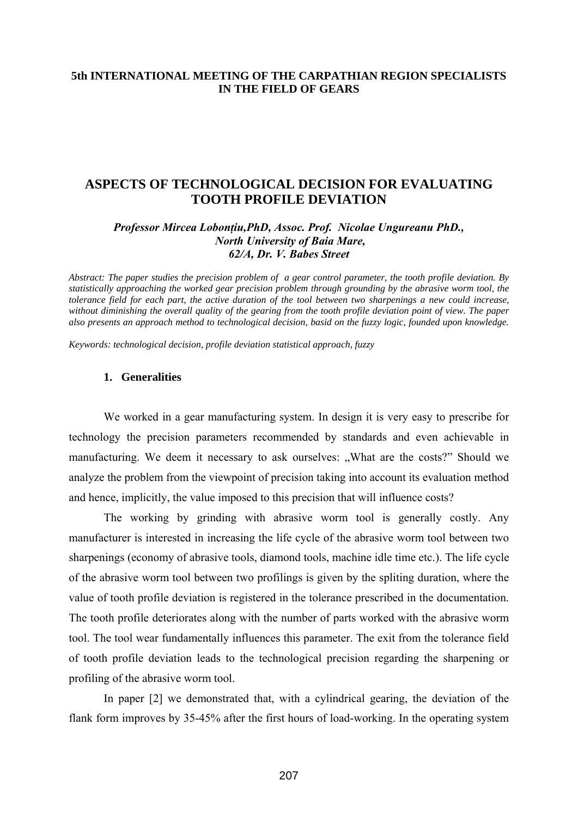## **5th INTERNATIONAL MEETING OF THE CARPATHIAN REGION SPECIALISTS IN THE FIELD OF GEARS**

# **ASPECTS OF TECHNOLOGICAL DECISION FOR EVALUATING TOOTH PROFILE DEVIATION**

## *Professor Mircea Lobonţiu,PhD, Assoc. Prof. Nicolae Ungureanu PhD., North University of Baia Mare, 62/A, Dr. V. Babes Street*

*Abstract: The paper studies the precision problem of a gear control parameter, the tooth profile deviation. By statistically approaching the worked gear precision problem through grounding by the abrasive worm tool, the tolerance field for each part, the active duration of the tool between two sharpenings a new could increase, without diminishing the overall quality of the gearing from the tooth profile deviation point of view. The paper also presents an approach method to technological decision, basid on the fuzzy logic, founded upon knowledge.* 

*Keywords: technological decision, profile deviation statistical approach, fuzzy* 

## **1. Generalities**

We worked in a gear manufacturing system. In design it is very easy to prescribe for technology the precision parameters recommended by standards and even achievable in manufacturing. We deem it necessary to ask ourselves: "What are the costs?" Should we analyze the problem from the viewpoint of precision taking into account its evaluation method and hence, implicitly, the value imposed to this precision that will influence costs?

The working by grinding with abrasive worm tool is generally costly. Any manufacturer is interested in increasing the life cycle of the abrasive worm tool between two sharpenings (economy of abrasive tools, diamond tools, machine idle time etc.). The life cycle of the abrasive worm tool between two profilings is given by the spliting duration, where the value of tooth profile deviation is registered in the tolerance prescribed in the documentation. The tooth profile deteriorates along with the number of parts worked with the abrasive worm tool. The tool wear fundamentally influences this parameter. The exit from the tolerance field of tooth profile deviation leads to the technological precision regarding the sharpening or profiling of the abrasive worm tool.

In paper [2] we demonstrated that, with a cylindrical gearing, the deviation of the flank form improves by 35-45% after the first hours of load-working. In the operating system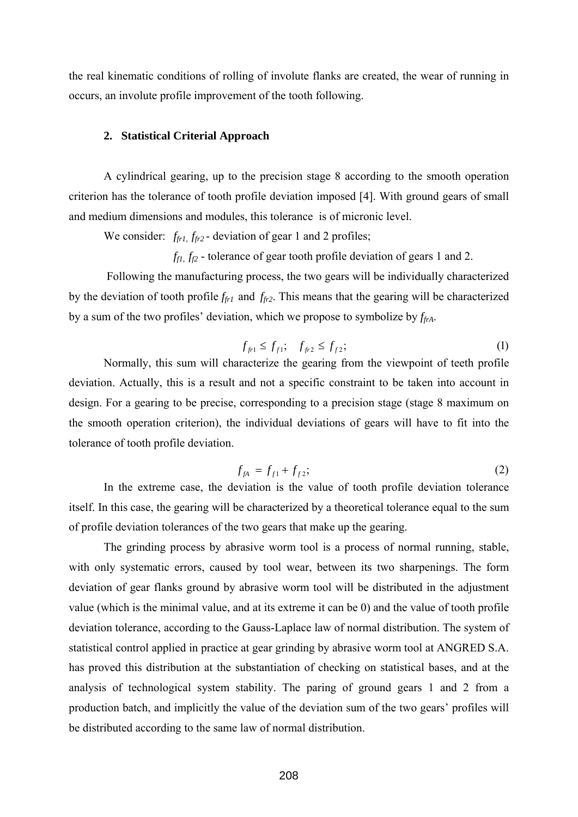the real kinematic conditions of rolling of involute flanks are created, the wear of running in occurs, an involute profile improvement of the tooth following.

#### **2. Statistical Criterial Approach**

A cylindrical gearing, up to the precision stage 8 according to the smooth operation criterion has the tolerance of tooth profile deviation imposed [4]. With ground gears of small and medium dimensions and modules, this tolerance is of micronic level.

We consider:  $f_{fr1}$ ,  $f_{fr2}$  - deviation of gear 1 and 2 profiles;

 $f_{f1}$ ,  $f_{f2}$  - tolerance of gear tooth profile deviation of gears 1 and 2.

 Following the manufacturing process, the two gears will be individually characterized by the deviation of tooth profile *ffr1* and *ffr2*. This means that the gearing will be characterized by a sum of the two profiles' deviation, which we propose to symbolize by  $f_{frA}$ .

$$
f_{f1} \le f_{f1}; \quad f_{f2} \le f_{f2}; \tag{1}
$$

 Normally, this sum will characterize the gearing from the viewpoint of teeth profile deviation. Actually, this is a result and not a specific constraint to be taken into account in design. For a gearing to be precise, corresponding to a precision stage (stage 8 maximum on the smooth operation criterion), the individual deviations of gears will have to fit into the tolerance of tooth profile deviation.

$$
f_{fA} = f_{f1} + f_{f2};
$$
 (2)

 In the extreme case, the deviation is the value of tooth profile deviation tolerance itself. In this case, the gearing will be characterized by a theoretical tolerance equal to the sum of profile deviation tolerances of the two gears that make up the gearing.

The grinding process by abrasive worm tool is a process of normal running, stable, with only systematic errors, caused by tool wear, between its two sharpenings. The form deviation of gear flanks ground by abrasive worm tool will be distributed in the adjustment value (which is the minimal value, and at its extreme it can be 0) and the value of tooth profile deviation tolerance, according to the Gauss-Laplace law of normal distribution. The system of statistical control applied in practice at gear grinding by abrasive worm tool at ANGRED S.A. has proved this distribution at the substantiation of checking on statistical bases, and at the analysis of technological system stability. The paring of ground gears 1 and 2 from a production batch, and implicitly the value of the deviation sum of the two gears' profiles will be distributed according to the same law of normal distribution.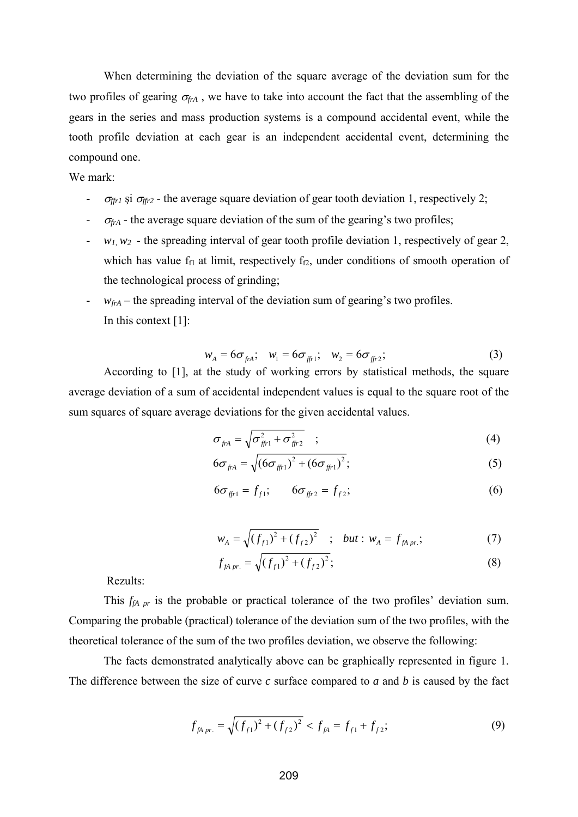When determining the deviation of the square average of the deviation sum for the two profiles of gearing  $\sigma_{\text{frA}}$ , we have to take into account the fact that the assembling of the gears in the series and mass production systems is a compound accidental event, while the tooth profile deviation at each gear is an independent accidental event, determining the compound one.

### We mark:

- <sup>σ</sup>*ffr1* şi σ*ffr2 -* the average square deviation of gear tooth deviation 1, respectively 2;
- $\sigma_{\text{frA}}$  the average square deviation of the sum of the gearing's two profiles;
- $-w_1, w_2$  the spreading interval of gear tooth profile deviation 1, respectively of gear 2, which has value  $f_{f1}$  at limit, respectively  $f_{f2}$ , under conditions of smooth operation of the technological process of grinding;
- $-w_{\text{frA}}$  the spreading interval of the deviation sum of gearing's two profiles. In this context [1]:

$$
w_{A} = 6\sigma_{\text{frA}}; \quad w_{1} = 6\sigma_{\text{fr1}}; \quad w_{2} = 6\sigma_{\text{fr2}}; \tag{3}
$$

According to [1], at the study of working errors by statistical methods, the square average deviation of a sum of accidental independent values is equal to the square root of the sum squares of square average deviations for the given accidental values.

$$
\sigma_{\hat{f}^t A} = \sqrt{\sigma_{\hat{f}^t P}^2 + \sigma_{\hat{f}^t P}^2} \quad ; \tag{4}
$$

$$
6\sigma_{f_{rA}} = \sqrt{(6\sigma_{f_{r1}})^2 + (6\sigma_{f_{r1}})^2};
$$
\n(5)

$$
6\sigma_{f} = f_{f1}; \qquad 6\sigma_{f} = f_{f2}; \qquad (6)
$$

$$
w_A = \sqrt{(f_{f1})^2 + (f_{f2})^2} \quad ; \quad but : w_A = f_{fA \, pr.}; \tag{7}
$$

$$
f_{fA\ pr.} = \sqrt{(f_{f1})^2 + (f_{f2})^2};
$$
\n(8)

Rezults:

This *f<sub>fA pr</sub>* is the probable or practical tolerance of the two profiles' deviation sum. Comparing the probable (practical) tolerance of the deviation sum of the two profiles, with the theoretical tolerance of the sum of the two profiles deviation, we observe the following:

The facts demonstrated analytically above can be graphically represented in figure 1. The difference between the size of curve *c* surface compared to *a* and *b* is caused by the fact

$$
f_{fApr.} = \sqrt{(f_{f1})^2 + (f_{f2})^2} < f_{fA} = f_{f1} + f_{f2};\tag{9}
$$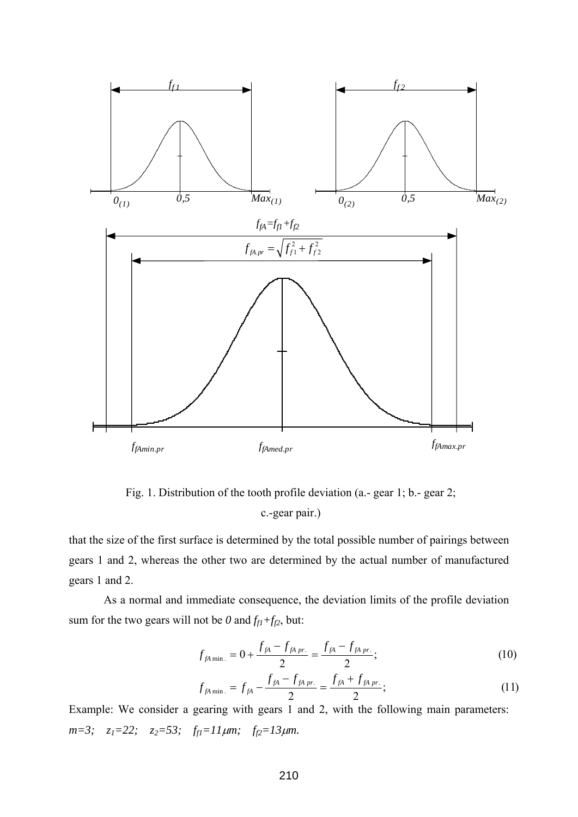

Fig. 1. Distribution of the tooth profile deviation (a.- gear 1; b.- gear 2; c.-gear pair.)

that the size of the first surface is determined by the total possible number of pairings between gears 1 and 2, whereas the other two are determined by the actual number of manufactured gears 1 and 2.

 As a normal and immediate consequence, the deviation limits of the profile deviation sum for the two gears will not be  $0$  and  $f_{f1} + f_{f2}$ , but:

$$
f_{fA\min.} = 0 + \frac{f_{fA} - f_{fA\,pr.}}{2} = \frac{f_{fA} - f_{fA\,pr.}}{2};
$$
\n(10)

$$
f_{fA\min.} = f_{fA} - \frac{f_{fA} - f_{fA\,pr.}}{2} = \frac{f_{fA} + f_{fA\,pr.}}{2};
$$
\n(11)

Example: We consider a gearing with gears 1 and 2, with the following main parameters: *m*=3; *z*<sub>1</sub>=22; *z*<sub>2</sub>=53; *f*<sub>f1</sub>=11μm; *f*<sub>f2</sub>=13μm.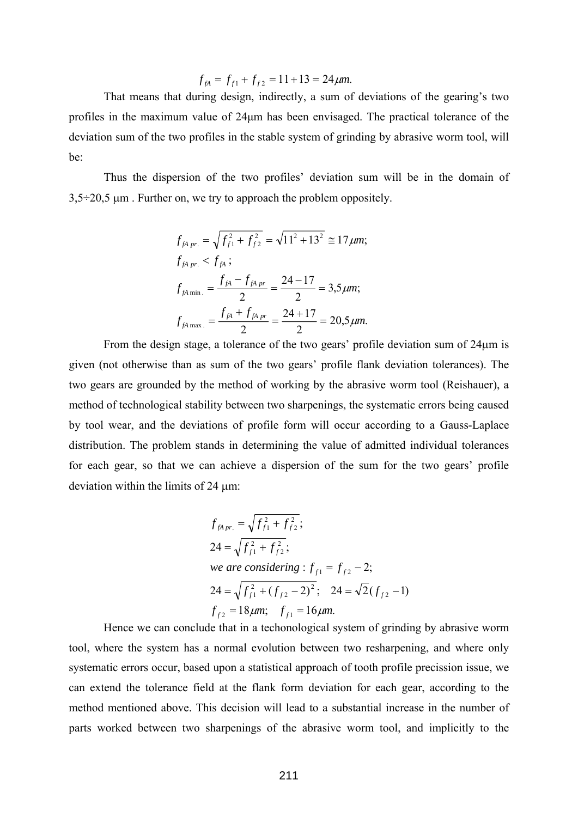$$
f_{fA} = f_{f1} + f_{f2} = 11 + 13 = 24 \mu m.
$$

 That means that during design, indirectly, a sum of deviations of the gearing's two profiles in the maximum value of 24μm has been envisaged. The practical tolerance of the deviation sum of the two profiles in the stable system of grinding by abrasive worm tool, will be:

Thus the dispersion of the two profiles' deviation sum will be in the domain of  $3.5\div20.5$  μm. Further on, we try to approach the problem oppositely.

$$
f_{fA\ pr.} = \sqrt{f_{f1}^2 + f_{f2}^2} = \sqrt{11^2 + 13^2} \approx 17 \,\mu m;
$$
  
\n
$$
f_{fA\ pr.} < f_{fA};
$$
  
\n
$$
f_{fA\ min.} = \frac{f_{fA} - f_{fA\ pr}}{2} = \frac{24 - 17}{2} = 3.5 \,\mu m;
$$
  
\n
$$
f_{fA\ max.} = \frac{f_{fA} + f_{fA\ pr}}{2} = \frac{24 + 17}{2} = 20.5 \,\mu m.
$$

From the design stage, a tolerance of the two gears' profile deviation sum of 24μm is given (not otherwise than as sum of the two gears' profile flank deviation tolerances). The two gears are grounded by the method of working by the abrasive worm tool (Reishauer), a method of technological stability between two sharpenings, the systematic errors being caused by tool wear, and the deviations of profile form will occur according to a Gauss-Laplace distribution. The problem stands in determining the value of admitted individual tolerances for each gear, so that we can achieve a dispersion of the sum for the two gears' profile deviation within the limits of 24 μm:

$$
f_{fApr.} = \sqrt{f_{f1}^2 + f_{f2}^2};
$$
  
\n
$$
24 = \sqrt{f_{f1}^2 + f_{f2}^2};
$$
  
\nwe are considering :  $f_{f1} = f_{f2} - 2;$   
\n
$$
24 = \sqrt{f_{f1}^2 + (f_{f2} - 2)^2};
$$
 
$$
24 = \sqrt{2}(f_{f2} - 1)
$$
  
\n
$$
f_{f2} = 18 \mu m; \quad f_{f1} = 16 \mu m.
$$

Hence we can conclude that in a techonological system of grinding by abrasive worm tool, where the system has a normal evolution between two resharpening, and where only systematic errors occur, based upon a statistical approach of tooth profile precission issue, we can extend the tolerance field at the flank form deviation for each gear, according to the method mentioned above. This decision will lead to a substantial increase in the number of parts worked between two sharpenings of the abrasive worm tool, and implicitly to the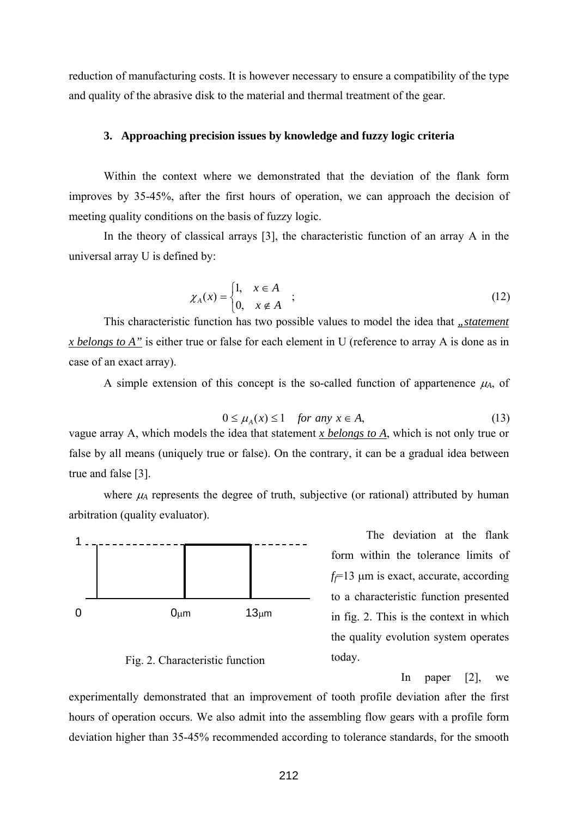reduction of manufacturing costs. It is however necessary to ensure a compatibility of the type and quality of the abrasive disk to the material and thermal treatment of the gear.

### **3. Approaching precision issues by knowledge and fuzzy logic criteria**

Within the context where we demonstrated that the deviation of the flank form improves by 35-45%, after the first hours of operation, we can approach the decision of meeting quality conditions on the basis of fuzzy logic.

In the theory of classical arrays [3], the characteristic function of an array A in the universal array U is defined by:

$$
\chi_A(x) = \begin{cases} 1, & x \in A \\ 0, & x \notin A \end{cases} ; \tag{12}
$$

This characteristic function has two possible values to model the idea that *"statement x belongs to A"* is either true or false for each element in U (reference to array A is done as in case of an exact array).

A simple extension of this concept is the so-called function of appartenence  $\mu_A$ , of

$$
0 \le \mu_A(x) \le 1 \quad \text{for any } x \in A,\tag{13}
$$

vague array A, which models the idea that statement *x belongs to A*, which is not only true or false by all means (uniquely true or false). On the contrary, it can be a gradual idea between true and false [3].

where  $\mu_A$  represents the degree of truth, subjective (or rational) attributed by human arbitration (quality evaluator).



Fig. 2. Characteristic function

 The deviation at the flank form within the tolerance limits of *ff*=13 μm is exact, accurate, according to a characteristic function presented in fig. 2. This is the context in which the quality evolution system operates today.

In paper [2], we

experimentally demonstrated that an improvement of tooth profile deviation after the first hours of operation occurs. We also admit into the assembling flow gears with a profile form deviation higher than 35-45% recommended according to tolerance standards, for the smooth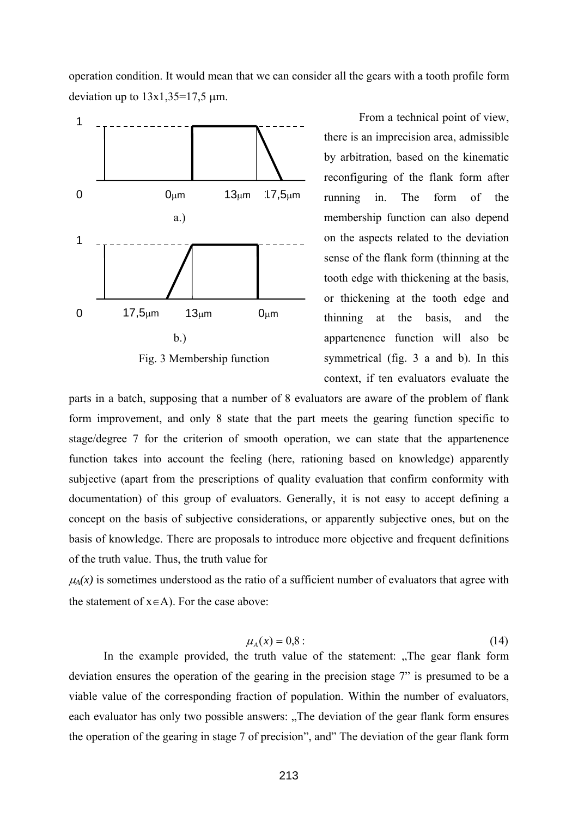operation condition. It would mean that we can consider all the gears with a tooth profile form deviation up to  $13x1,35=17,5 \mu m$ .



Fig. 3 Membership function

From a technical point of view, there is an imprecision area, admissible by arbitration, based on the kinematic reconfiguring of the flank form after running in. The form of the membership function can also depend on the aspects related to the deviation sense of the flank form (thinning at the tooth edge with thickening at the basis, or thickening at the tooth edge and thinning at the basis, and the appartenence function will also be symmetrical (fig. 3 a and b). In this context, if ten evaluators evaluate the

parts in a batch, supposing that a number of 8 evaluators are aware of the problem of flank form improvement, and only 8 state that the part meets the gearing function specific to stage/degree 7 for the criterion of smooth operation, we can state that the appartenence function takes into account the feeling (here, rationing based on knowledge) apparently subjective (apart from the prescriptions of quality evaluation that confirm conformity with documentation) of this group of evaluators. Generally, it is not easy to accept defining a concept on the basis of subjective considerations, or apparently subjective ones, but on the basis of knowledge. There are proposals to introduce more objective and frequent definitions of the truth value. Thus, the truth value for

 $\mu_A(x)$  is sometimes understood as the ratio of a sufficient number of evaluators that agree with the statement of  $x \in A$ ). For the case above:

$$
\mu_A(x) = 0.8:
$$
\n<sup>(14)</sup>

In the example provided, the truth value of the statement: "The gear flank form" deviation ensures the operation of the gearing in the precision stage 7" is presumed to be a viable value of the corresponding fraction of population. Within the number of evaluators, each evaluator has only two possible answers: "The deviation of the gear flank form ensures" the operation of the gearing in stage 7 of precision", and" The deviation of the gear flank form